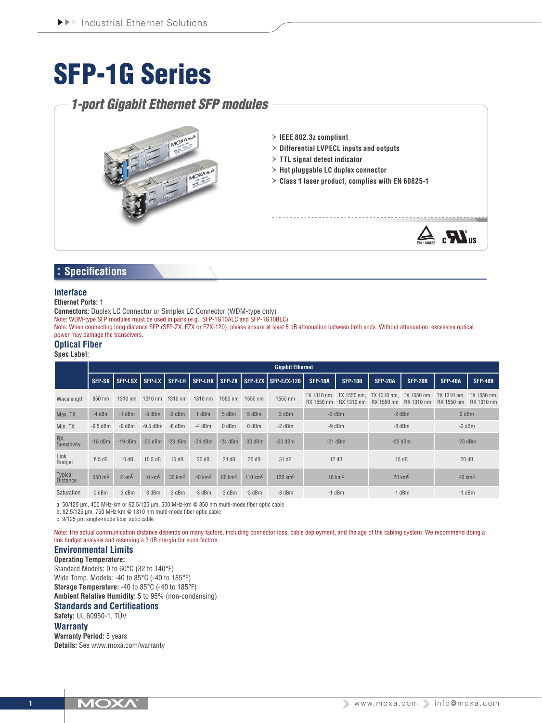# SFP-1G Series

# *1-port Gigabit Ethernet SFP modules*



# **Specifications**

### **Interface**

**Ethernet Ports:** 1

**Connectors:** Duplex LC Connector or Simplex LC Connector (WDM-type only)

Note: WDM-type SFP modules must be used in pairs (e.g., SFP-1G10ALC and SFP-1G10BLC)

Note: When connecting long distance SFP (SFP-ZX, EZX or EZX-120), please ensure at least 5 dB attenuation between both ends. Without attenuation, excessive optical power may damage the transeivers.

# **Optical Fiber**

**Spec Label:**

|                                   | <b>Gigabit Ethernet</b> |                           |                         |                         |                         |                         |                          |                                                  |                           |                |                                       |                |                                                   |                |
|-----------------------------------|-------------------------|---------------------------|-------------------------|-------------------------|-------------------------|-------------------------|--------------------------|--------------------------------------------------|---------------------------|----------------|---------------------------------------|----------------|---------------------------------------------------|----------------|
|                                   | SFP-SX <sup>1</sup>     | <b>SFP-LSX</b>            |                         |                         |                         |                         |                          | SFP-LX SFP-LH SFP-LHX SFP-ZX SFP-EZX SFP-EZX-120 | <b>SFP-10A</b>            | <b>SFP-10B</b> | <b>SFP-20A</b>                        | <b>SFP-20B</b> | <b>SFP-40A</b>                                    | <b>SFP-40B</b> |
| Wavelength                        | 850 nm                  | 1310 nm                   | 1310 nm                 | 1310 nm                 | 1310 nm                 | 1550 nm                 | 1550 nm                  | 1550 nm                                          | TX 1310 nm.<br>RX 1550 nm | RX 1310 nm     | TX 1550 nm. TX 1310 nm.<br>RX 1550 nm | RX 1310 nm     | TX 1550 nm. TX 1310 nm. TX 1550 nm.<br>RX 1550 nm | RX 1310 nm     |
| Max. TX                           | $-4$ dBm                | $-1$ dBm                  | $-3$ dBm                | $-2$ dBm                | 1 dBm                   | 5 dBm                   | 5 dBm                    | 3 dBm                                            | $-3$ dBm                  |                | $-2$ dBm                              |                | 2 dBm                                             |                |
| Min. TX                           | $-9.5$ dBm              | $-9$ dBm                  | $-9.5$ dBm              | $-8$ dBm                | $-4$ dBm                | $0$ dBm                 | $0$ dBm                  | $-2$ dBm                                         | $-9$ dBm                  |                | $-8$ dBm                              |                | $-3$ dBm                                          |                |
| <b>RX</b><br>Sensitivity          | $-18$ dBm               | $-19$ dBm                 | $-20$ dBm               | $-23$ dBm               | $-24$ dBm               | $-24$ dBm               | $-30$ dBm                | $-33$ dBm                                        | $-21$ dBm                 |                | $-23$ dBm                             |                | $-23$ dBm                                         |                |
| Link<br>Budget                    | 8.5 dB                  | 10dB                      | 10.5 dB                 | 15dB                    | 20dB                    | 24dB                    | 30dB                     | 31 dB                                            | 12 dB                     |                | 15dB                                  |                | 20dB                                              |                |
| <b>Typical</b><br><b>Distance</b> | 550 $md$                | $2 \text{ km}^{\text{b}}$ | $10 \text{ km}^{\circ}$ | $30 \text{ km}^{\circ}$ | $40 \text{ km}^{\circ}$ | $80 \text{ km}^{\circ}$ | $110 \text{ km}^{\circ}$ | 120 $kmC$                                        | $10 \text{ km}^{\circ}$   |                | $20 \text{ km}^{\circ}$               |                | $40 \text{ km}^{\circ}$                           |                |
| Saturation                        | 0 dBm                   | $-3$ dBm                  | $-3$ dBm                | $-3$ dBm                | $-3$ dBm                | $-3$ dBm                | $-3$ dBm                 | $-8$ dBm                                         | $-1$ dBm                  |                | $-1$ dBm                              |                | $-1$ dBm                                          |                |

a. 50/125 μm, 400 MHz-km or 62.5/125 μm, 500 MHz-km @ 850 nm multi-mode fiber optic cable

b. 62.5/125 μm, 750 MHz-km @ 1310 nm multi-mode fiber optic cable

c. 9/125 μm single-mode fiber optic cable

Note: The actual communication distance depends on many factors, including connector loss, cable deployment, and the age of the cabling system. We recommend doing a link budget analysis and reserving a 3 dB margin for such factors.

# **Environmental Limits**

**Operating Temperature:** Standard Models: 0 to 60°C (32 to 140°F) Wide Temp. Models: -40 to 85°C (-40 to 185°F) **Storage Temperature:** -40 to 85°C (-40 to 185°F) **Ambient Relative Humidity:** 5 to 95% (non-condensing)

# **Standards and Certifications**

**Safety:** UL 60950-1, TÜV **Warranty**

**Warranty Period:** 5 years **Details:** See www.moxa.com/warranty